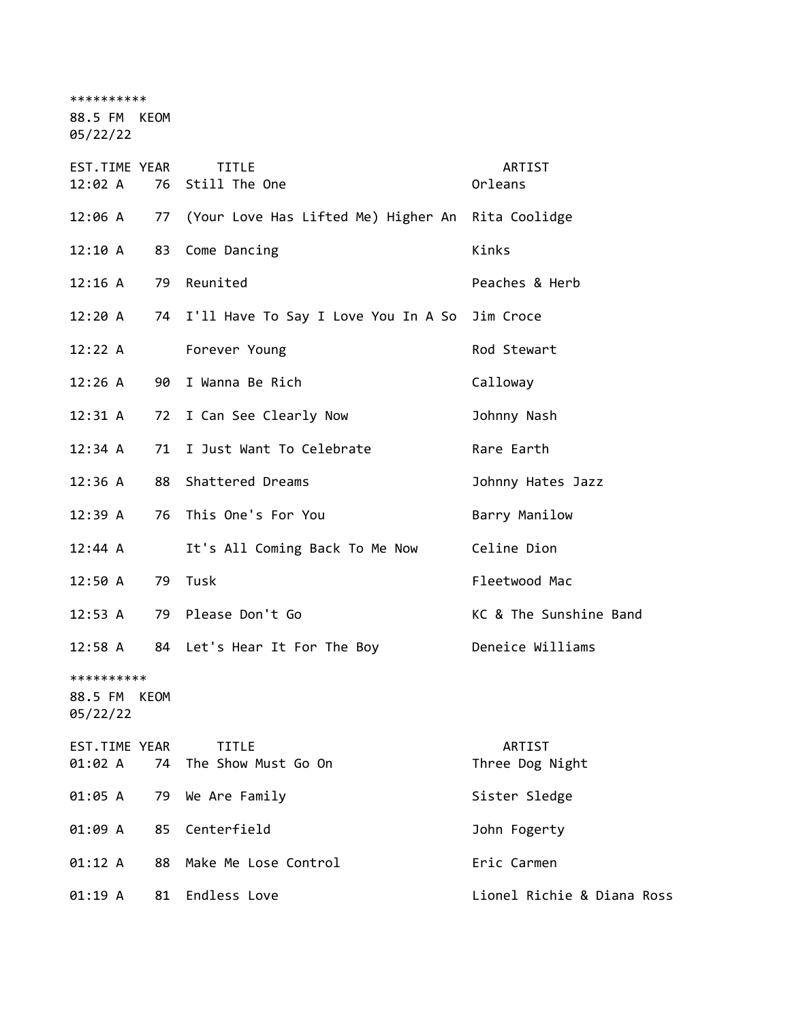\*\*\*\*\*\*\*\*\*\*

88.5 FM KEOM

05/22/22

| EST.TIME YEAR<br>12:02 A          | 76   | <b>TITLE</b><br>Still The One                     | ARTIST<br>Orleans          |
|-----------------------------------|------|---------------------------------------------------|----------------------------|
| 12:06 A                           | 77   | (Your Love Has Lifted Me) Higher An Rita Coolidge |                            |
| 12:10 A                           | 83   | Come Dancing                                      | Kinks                      |
| 12:16 A                           | 79   | Reunited                                          | Peaches & Herb             |
| 12:20A                            |      | 74 I'll Have To Say I Love You In A So            | Jim Croce                  |
| 12:22 A                           |      | Forever Young                                     | Rod Stewart                |
| 12:26 A                           | 90   | I Wanna Be Rich                                   | Calloway                   |
| 12:31 A                           | 72   | I Can See Clearly Now                             | Johnny Nash                |
| 12:34 A                           | 71   | I Just Want To Celebrate                          | Rare Earth                 |
| 12:36 A                           | 88   | Shattered Dreams                                  | Johnny Hates Jazz          |
| 12:39A                            | 76   | This One's For You                                | Barry Manilow              |
| 12:44 A                           |      | It's All Coming Back To Me Now                    | Celine Dion                |
| 12:50A                            | 79   | Tusk                                              | Fleetwood Mac              |
| 12:53 A                           | 79   | Please Don't Go                                   | KC & The Sunshine Band     |
| 12:58 A                           |      | 84 Let's Hear It For The Boy                      | Deneice Williams           |
| **********<br>88.5 FM<br>05/22/22 | KEOM |                                                   |                            |
| EST.TIME YEAR<br>01:02 A          | 74   | <b>TITLE</b><br>The Show Must Go On               | ARTIST<br>Three Dog Night  |
| 01:05 A                           | 79   | We Are Family                                     | Sister Sledge              |
| 01:09 A                           | 85   | Centerfield                                       | John Fogerty               |
| 01:12 A                           | 88   | Make Me Lose Control                              | Eric Carmen                |
| 01:19 A                           | 81   | Endless Love                                      | Lionel Richie & Diana Ross |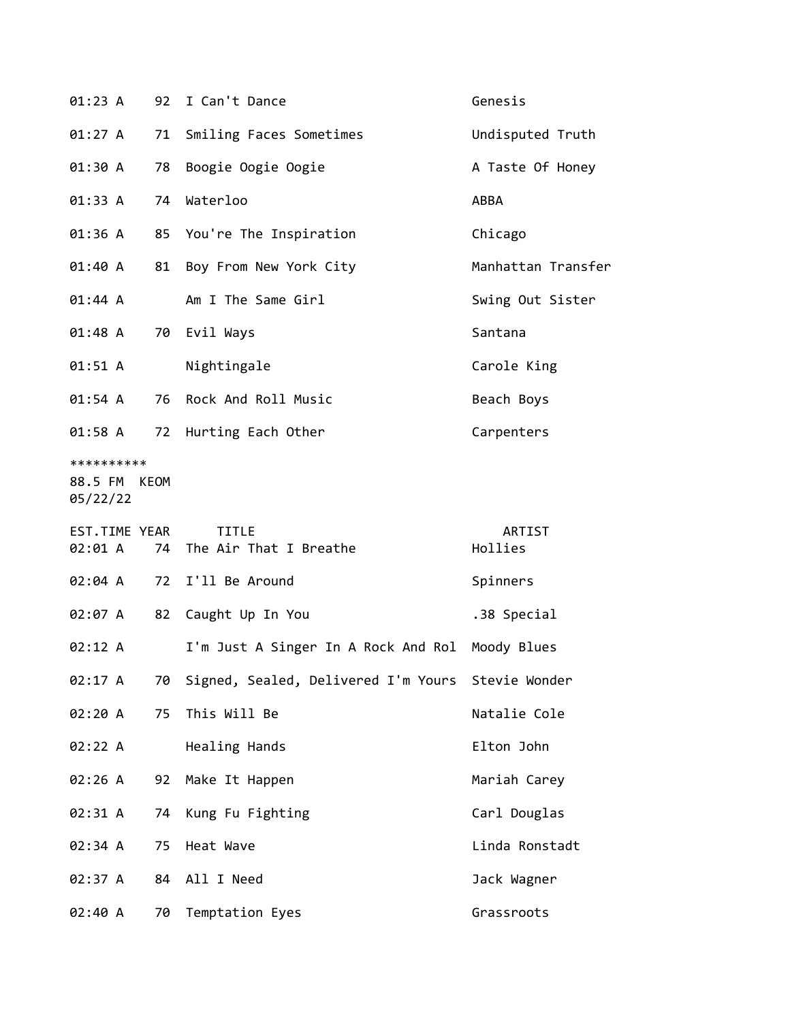| 01:23 A                                |    | 92 I Can't Dance                                     | Genesis            |
|----------------------------------------|----|------------------------------------------------------|--------------------|
| 01:27 A                                | 71 | Smiling Faces Sometimes                              | Undisputed Truth   |
| 01:30 A                                | 78 | Boogie Oogie Oogie                                   | A Taste Of Honey   |
| 01:33 A                                | 74 | Waterloo                                             | ABBA               |
| 01:36 A                                |    | 85 You're The Inspiration                            | Chicago            |
| 01:40 A                                |    | 81 Boy From New York City                            | Manhattan Transfer |
| 01:44 A                                |    | Am I The Same Girl                                   | Swing Out Sister   |
| 01:48 A                                |    | 70 Evil Ways                                         | Santana            |
| 01:51 A                                |    | Nightingale                                          | Carole King        |
| 01:54 A                                |    | 76 Rock And Roll Music                               | Beach Boys         |
| 01:58 A                                |    | 72 Hurting Each Other                                | Carpenters         |
| **********<br>88.5 FM KEOM<br>05/22/22 |    |                                                      |                    |
|                                        |    |                                                      |                    |
| EST.TIME YEAR<br>02:01 A               | 74 | <b>TITLE</b><br>The Air That I Breathe               | ARTIST<br>Hollies  |
| 02:04 A                                | 72 | I'll Be Around                                       | Spinners           |
| 02:07 A                                | 82 | Caught Up In You                                     | .38 Special        |
| 02:12 A                                |    | I'm Just A Singer In A Rock And Rol Moody Blues      |                    |
| 02:17 A                                |    | 70 Signed, Sealed, Delivered I'm Yours Stevie Wonder |                    |
| 02:20 A                                | 75 | This Will Be                                         | Natalie Cole       |
| 02:22 A                                |    | Healing Hands                                        | Elton John         |
| 02:26 A                                | 92 | Make It Happen                                       | Mariah Carey       |
| 02:31 A                                | 74 | Kung Fu Fighting                                     | Carl Douglas       |
| 02:34 A                                | 75 | Heat Wave                                            | Linda Ronstadt     |
| 02:37 A                                | 84 | All I Need                                           | Jack Wagner        |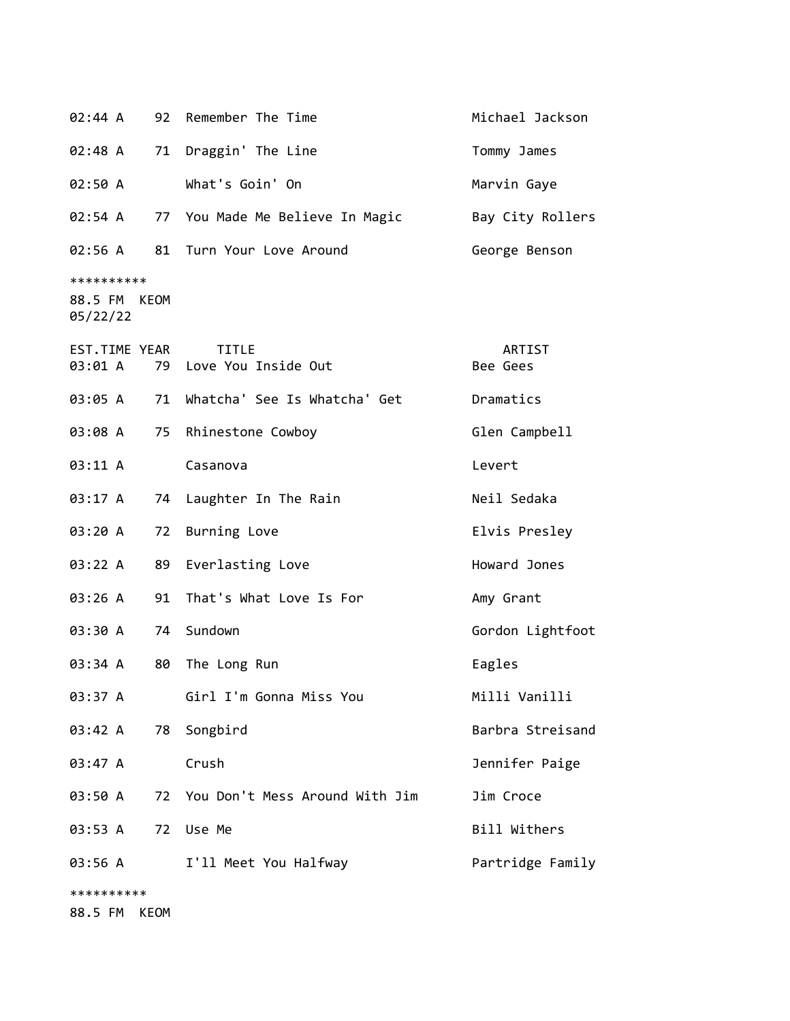| 02:44 A                                |    | 92 Remember The Time                   | Michael Jackson    |
|----------------------------------------|----|----------------------------------------|--------------------|
| 02:48 A                                | 71 | Draggin' The Line                      | Tommy James        |
| 02:50 A                                |    | What's Goin' On                        | Marvin Gaye        |
| 02:54 A                                |    | 77 You Made Me Believe In Magic        | Bay City Rollers   |
| 02:56 A                                |    | 81 Turn Your Love Around               | George Benson      |
| **********<br>88.5 FM KEOM<br>05/22/22 |    |                                        |                    |
| EST.TIME YEAR<br>03:01 A               |    | <b>TITLE</b><br>79 Love You Inside Out | ARTIST<br>Bee Gees |
| 03:05 A                                | 71 | Whatcha' See Is Whatcha' Get           | Dramatics          |
| 03:08 A                                | 75 | Rhinestone Cowboy                      | Glen Campbell      |
| 03:11 A                                |    | Casanova                               | Levert             |
| 03:17 A                                | 74 | Laughter In The Rain                   | Neil Sedaka        |
| 03:20 A                                | 72 | Burning Love                           | Elvis Presley      |
| 03:22 A                                | 89 | Everlasting Love                       | Howard Jones       |
| 03:26 A                                | 91 | That's What Love Is For                | Amy Grant          |
| 03:30 A                                | 74 | Sundown                                | Gordon Lightfoot   |
| 03:34 A                                | 80 | The Long Run                           | Eagles             |
| 03:37 A                                |    | Girl I'm Gonna Miss You                | Milli Vanilli      |
| 03:42 A                                |    | 78 Songbird                            | Barbra Streisand   |
| 03:47 A                                |    | Crush                                  | Jennifer Paige     |
| 03:50 A                                | 72 | You Don't Mess Around With Jim         | Jim Croce          |
| 03:53 A                                | 72 | Use Me                                 | Bill Withers       |
| 03:56 A                                |    | I'll Meet You Halfway                  | Partridge Family   |
| **********                             |    |                                        |                    |
| 88.5 FM KEOM                           |    |                                        |                    |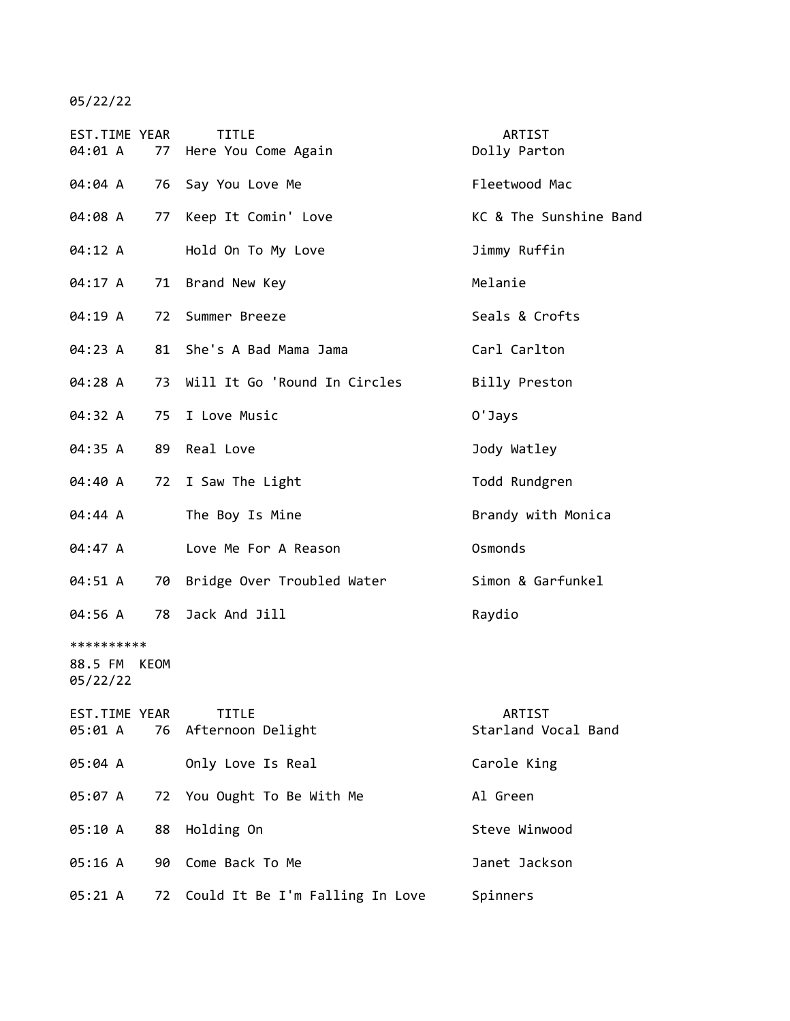05/22/22

| EST.TIME YEAR<br>04:01 A          |      |    | <b>TITLE</b><br>77 Here You Come Again | ARTIST<br>Dolly Parton        |
|-----------------------------------|------|----|----------------------------------------|-------------------------------|
| 04:04 A                           |      |    | 76 Say You Love Me                     | Fleetwood Mac                 |
| 04:08 A                           |      | 77 | Keep It Comin' Love                    | KC & The Sunshine Band        |
| 04:12 A                           |      |    | Hold On To My Love                     | Jimmy Ruffin                  |
| 04:17 A                           |      |    | 71 Brand New Key                       | Melanie                       |
| 04:19 A                           |      | 72 | Summer Breeze                          | Seals & Crofts                |
| 04:23 A                           |      |    | 81 She's A Bad Mama Jama               | Carl Carlton                  |
| 04:28 A                           |      | 73 | Will It Go 'Round In Circles           | Billy Preston                 |
| 04:32 A                           |      |    | 75 I Love Music                        | 0'Jays                        |
| 04:35 A                           |      |    | 89 Real Love                           | Jody Watley                   |
| 04:40 A                           |      |    | 72 I Saw The Light                     | Todd Rundgren                 |
| 04:44 A                           |      |    | The Boy Is Mine                        | Brandy with Monica            |
| 04:47 A                           |      |    | Love Me For A Reason                   | Osmonds                       |
| 04:51 A                           |      | 70 | Bridge Over Troubled Water             | Simon & Garfunkel             |
| 04:56 A                           |      | 78 | Jack And Jill                          | Raydio                        |
| **********<br>88.5 FM<br>05/22/22 | KEOM |    |                                        |                               |
| EST.TIME YEAR<br>05:01 A          |      |    | <b>TITLE</b><br>76 Afternoon Delight   | ARTIST<br>Starland Vocal Band |
| 05:04 A                           |      |    | Only Love Is Real                      | Carole King                   |
| 05:07 A                           |      | 72 | You Ought To Be With Me                | Al Green                      |
| 05:10 A                           |      | 88 | Holding On                             | Steve Winwood                 |
| 05:16 A                           |      | 90 | Come Back To Me                        | Janet Jackson                 |
| 05:21 A                           |      | 72 | Could It Be I'm Falling In Love        | Spinners                      |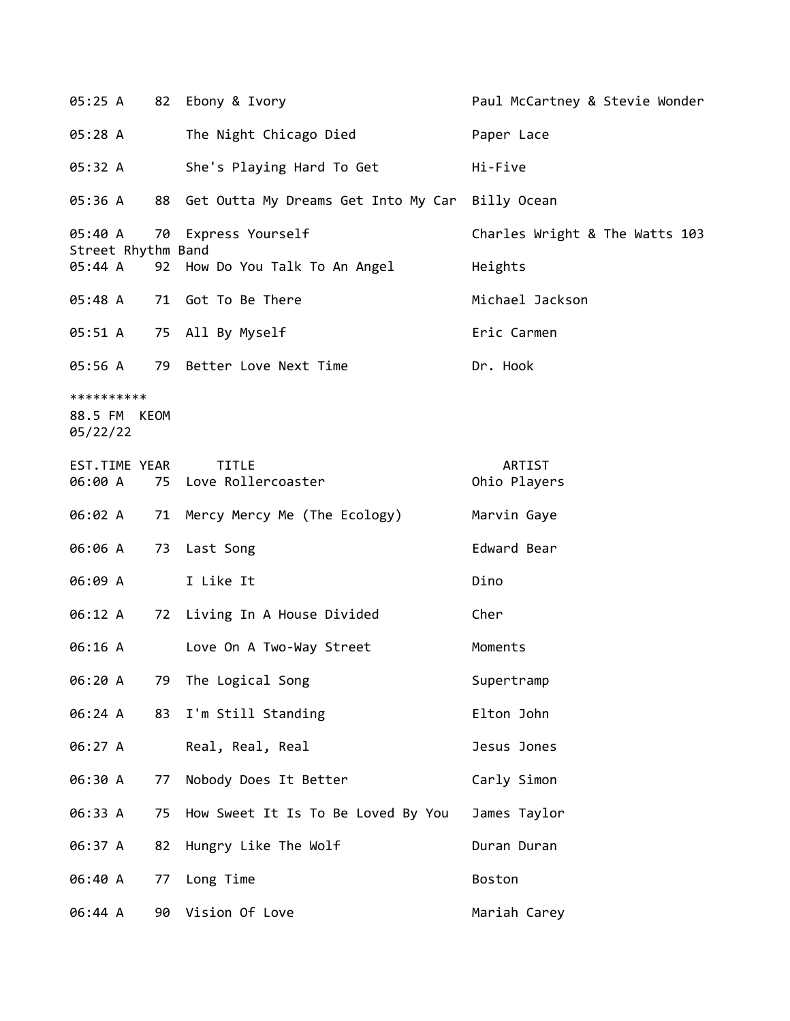05:25 A 82 Ebony & Ivory Paul McCartney & Stevie Wonder 05:28 A The Night Chicago Died Paper Lace 05:32 A She's Playing Hard To Get Hi-Five 05:36 A 88 Get Outta My Dreams Get Into My Car Billy Ocean 05:40 A 70 Express Yourself Charles Wright & The Watts 103 Street Rhythm Band 05:44 A 92 How Do You Talk To An Angel Heights 05:48 A 71 Got To Be There Michael Jackson 05:51 A 75 All By Myself **Example 2018** Eric Carmen 05:56 A 79 Better Love Next Time Contract Dr. Hook \*\*\*\*\*\*\*\*\*\* 88.5 FM KEOM 05/22/22 EST.TIME YEAR TITLE THE REST.TIME YEAR 06:00 A 75 Love Rollercoaster CD 0hio Players 06:02 A 71 Mercy Mercy Me (The Ecology) Marvin Gaye 06:06 A 73 Last Song extending the Edward Bear 06:09 A I Like It Dino 06:12 A 72 Living In A House Divided Cher 06:16 A Love On A Two-Way Street Moments 06:20 A 79 The Logical Song Supertramp 06:24 A 83 I'm Still Standing Elton John 06:27 A Real, Real, Real Jesus Jones 06:30 A 77 Nobody Does It Better Carly Simon 06:33 A 75 How Sweet It Is To Be Loved By You James Taylor 06:37 A 82 Hungry Like The Wolf **Duran Duran** 06:40 A 77 Long Time Boston 06:44 A 90 Vision Of Love Mariah Carey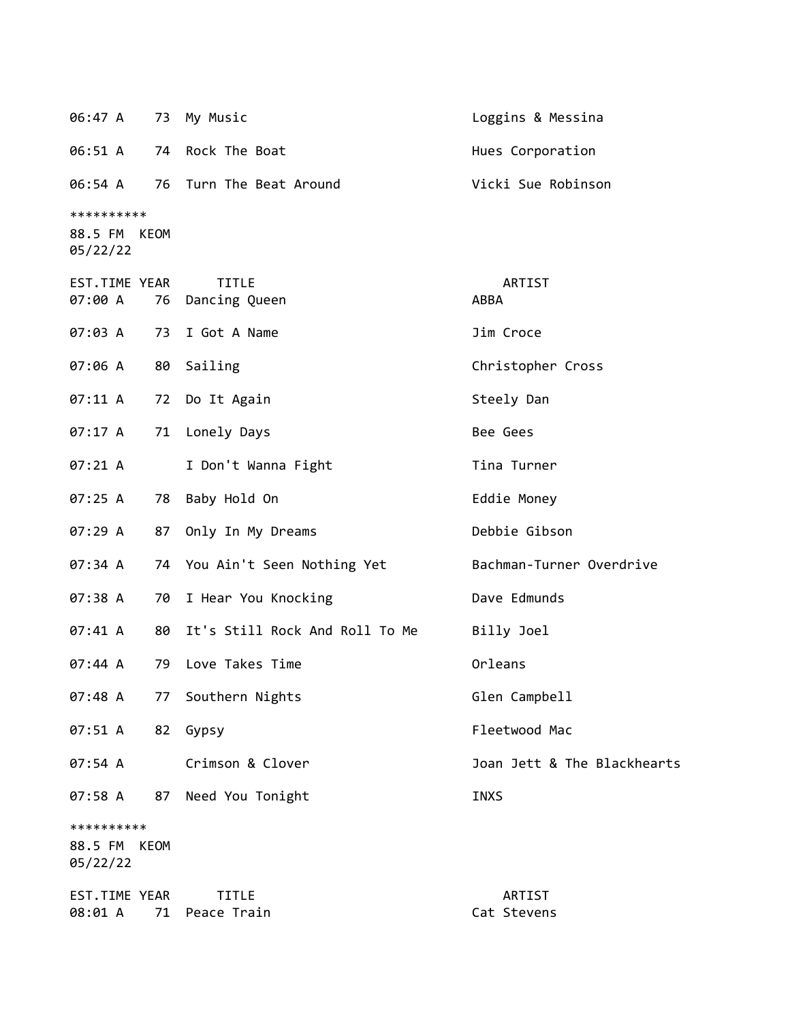| 06:47 A                           | 73          | My Music                       | Loggins & Messina           |
|-----------------------------------|-------------|--------------------------------|-----------------------------|
| 06:51 A                           | 74          | Rock The Boat                  | Hues Corporation            |
| 06:54 A                           | 76          | Turn The Beat Around           | Vicki Sue Robinson          |
| **********<br>88.5 FM<br>05/22/22 | KEOM        |                                |                             |
| EST.TIME YEAR<br>07:00 A          | 76          | <b>TITLE</b><br>Dancing Queen  | ARTIST<br>ABBA              |
| 07:03 A                           | 73          | I Got A Name                   | Jim Croce                   |
| 07:06 A                           |             | 80 Sailing                     | Christopher Cross           |
| 07:11 A                           | 72          | Do It Again                    | Steely Dan                  |
| 07:17 A                           | 71          | Lonely Days                    | Bee Gees                    |
| 07:21 A                           |             | I Don't Wanna Fight            | Tina Turner                 |
| 07:25A                            | 78          | Baby Hold On                   | Eddie Money                 |
| 07:29 A                           | 87          | Only In My Dreams              | Debbie Gibson               |
| 07:34 A                           |             | 74 You Ain't Seen Nothing Yet  | Bachman-Turner Overdrive    |
| 07:38 A                           | 70          | I Hear You Knocking            | Dave Edmunds                |
| 07:41 A                           | 80          | It's Still Rock And Roll To Me | Billy Joel                  |
| 07:44 A                           | 79          | Love Takes Time                | Orleans                     |
| 07:48 A                           |             | 77 Southern Nights             | Glen Campbell               |
| 07:51 A                           | 82          | Gypsy                          | Fleetwood Mac               |
| 07:54 A                           |             | Crimson & Clover               | Joan Jett & The Blackhearts |
| 07:58 A                           | 87          | Need You Tonight               | <b>INXS</b>                 |
| **********<br>88.5 FM<br>05/22/22 | <b>KEOM</b> |                                |                             |
| EST.TIME YEAR<br>08:01 A          | 71          | <b>TITLE</b><br>Peace Train    | ARTIST<br>Cat Stevens       |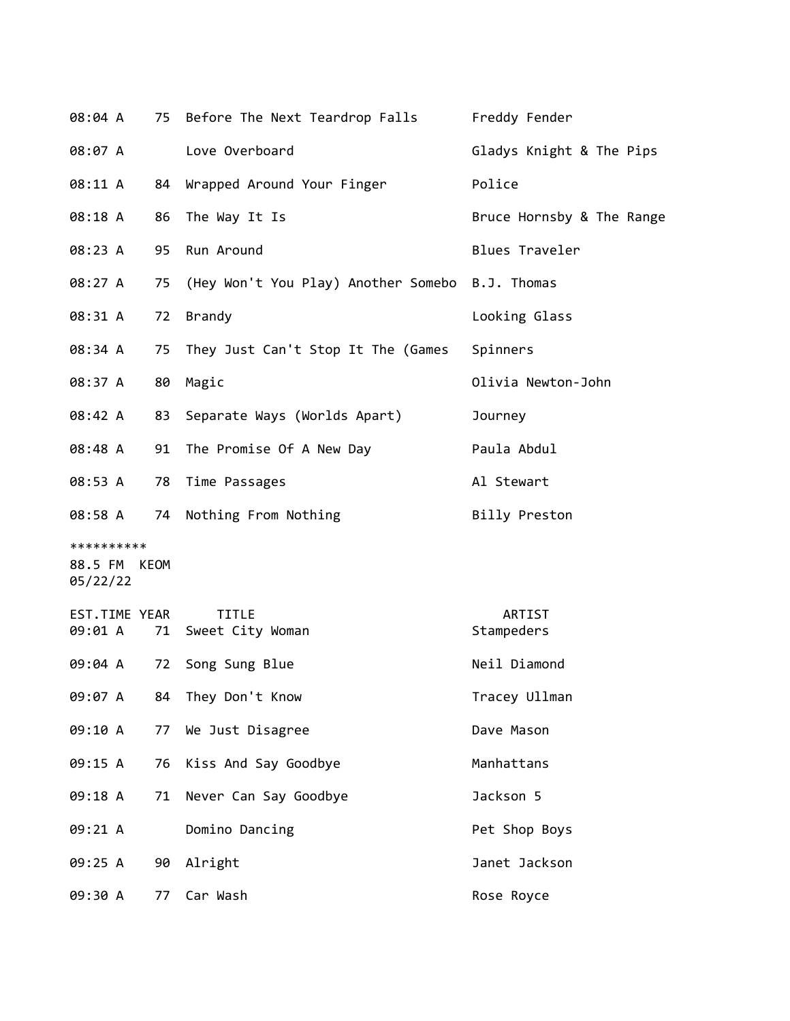| 08:04 A                                |    | 75 Before The Next Teardrop Falls               | Freddy Fender             |
|----------------------------------------|----|-------------------------------------------------|---------------------------|
| 08:07 A                                |    | Love Overboard                                  | Gladys Knight & The Pips  |
| 08:11 A                                | 84 | Wrapped Around Your Finger                      | Police                    |
| 08:18 A                                | 86 | The Way It Is                                   | Bruce Hornsby & The Range |
| 08:23 A                                | 95 | Run Around                                      | Blues Traveler            |
| 08:27 A                                | 75 | (Hey Won't You Play) Another Somebo B.J. Thomas |                           |
| 08:31 A                                | 72 | <b>Brandy</b>                                   | Looking Glass             |
| 08:34 A                                | 75 | They Just Can't Stop It The (Games              | Spinners                  |
| 08:37 A                                | 80 | Magic                                           | Olivia Newton-John        |
| 08:42 A                                | 83 | Separate Ways (Worlds Apart)                    | Journey                   |
| 08:48 A                                | 91 | The Promise Of A New Day                        | Paula Abdul               |
| 08:53 A                                | 78 | Time Passages                                   | Al Stewart                |
| 08:58 A                                | 74 | Nothing From Nothing                            | Billy Preston             |
| **********<br>88.5 FM KEOM<br>05/22/22 |    |                                                 |                           |
| <b>EST.TIME YEAR</b><br>09:01 A        | 71 | <b>TITLE</b><br>Sweet City Woman                | ARTIST<br>Stampeders      |
| 09:04 A                                | 72 | Song Sung Blue                                  | Neil Diamond              |
| 09:07 A                                | 84 | They Don't Know                                 | Tracey Ullman             |
| 09:10 A                                | 77 | We Just Disagree                                | Dave Mason                |
| 09:15 A                                | 76 | Kiss And Say Goodbye                            | Manhattans                |
| 09:18 A                                | 71 | Never Can Say Goodbye                           | Jackson 5                 |
| 09:21 A                                |    | Domino Dancing                                  | Pet Shop Boys             |
| 09:25 A                                | 90 | Alright                                         | Janet Jackson             |
| 09:30 A                                | 77 | Car Wash                                        | Rose Royce                |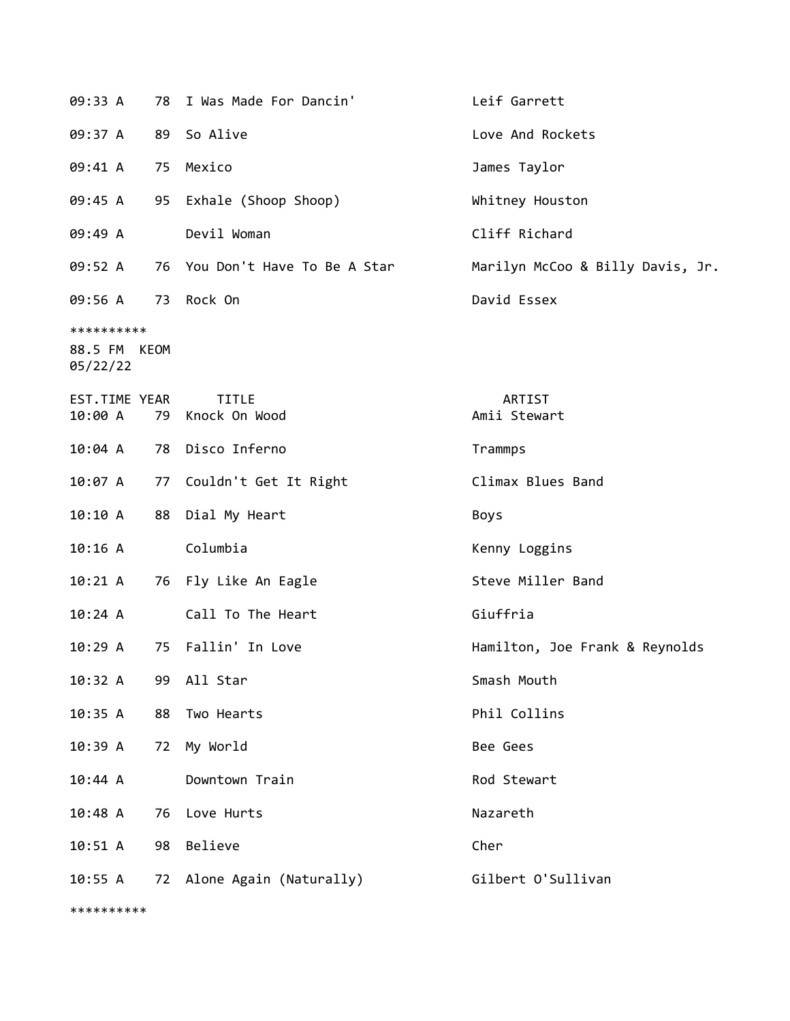| 09:33 A                                | 78 | I Was Made For Dancin'           | Leif Garrett                     |
|----------------------------------------|----|----------------------------------|----------------------------------|
| 09:37 A                                | 89 | So Alive                         | Love And Rockets                 |
| 09:41 A                                | 75 | Mexico                           | James Taylor                     |
| 09:45 A                                |    | 95 Exhale (Shoop Shoop)          | Whitney Houston                  |
| 09:49 A                                |    | Devil Woman                      | Cliff Richard                    |
| 09:52 A                                |    | 76 You Don't Have To Be A Star   | Marilyn McCoo & Billy Davis, Jr. |
| 09:56 A 73 Rock On                     |    |                                  | David Essex                      |
| **********<br>88.5 FM KEOM<br>05/22/22 |    |                                  |                                  |
| EST.TIME YEAR<br>10:00 A               |    | <b>TITLE</b><br>79 Knock On Wood | ARTIST<br>Amii Stewart           |
| 10:04 A                                |    | 78 Disco Inferno                 | Trammps                          |
| 10:07 A                                |    | 77 Couldn't Get It Right         | Climax Blues Band                |
| 10:10 A                                |    | 88 Dial My Heart                 | Boys                             |
| 10:16 A                                |    | Columbia                         | Kenny Loggins                    |
| 10:21 A                                |    | 76 Fly Like An Eagle             | Steve Miller Band                |
| 10:24 A                                |    | Call To The Heart                | Giuffria                         |
| 10:29A                                 |    | 75 Fallin' In Love               | Hamilton, Joe Frank & Reynolds   |
| 10:32 A                                | 99 | All Star                         | Smash Mouth                      |
| 10:35 A                                | 88 | Two Hearts                       | Phil Collins                     |
| 10:39 A                                | 72 | My World                         | Bee Gees                         |
| 10:44 A                                |    | Downtown Train                   | Rod Stewart                      |
| $10:48$ A                              | 76 | Love Hurts                       | Nazareth                         |
| 10:51 A                                | 98 | Believe                          | Cher                             |
| 10:55 A                                |    | 72 Alone Again (Naturally)       | Gilbert O'Sullivan               |

\*\*\*\*\*\*\*\*\*\*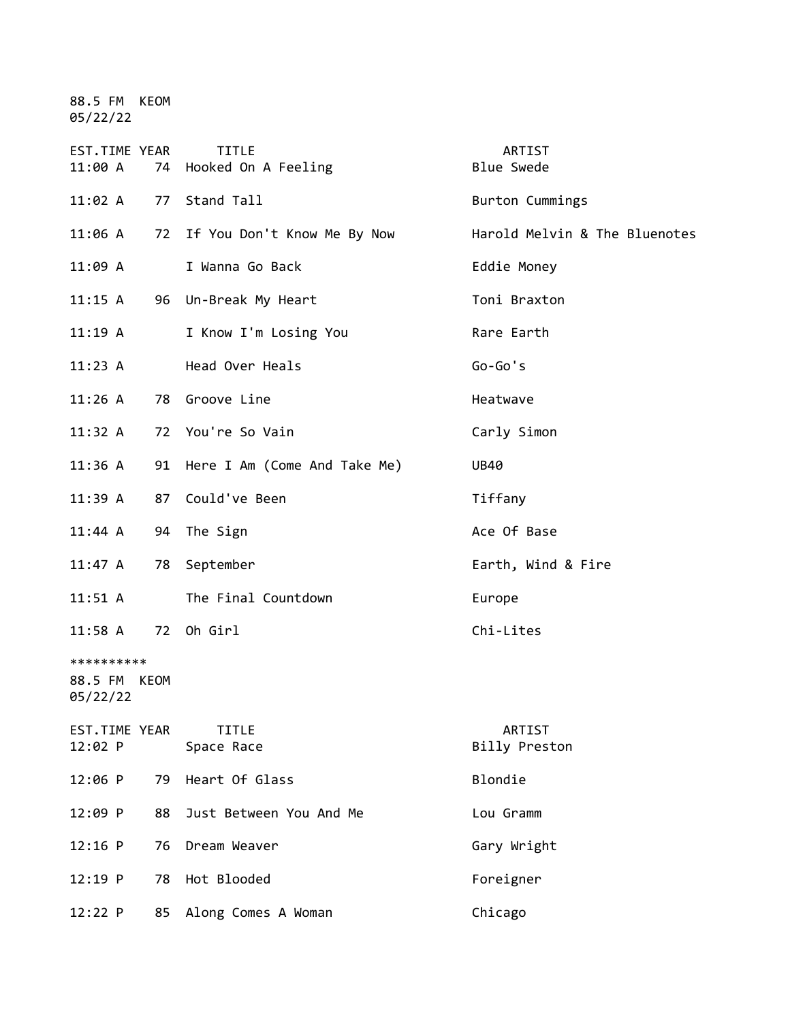88.5 FM KEOM 05/22/22

| EST.TIME YEAR<br>11:00 A               |    | <b>TITLE</b><br>74 Hooked On A Feeling | ARTIST<br><b>Blue Swede</b>   |
|----------------------------------------|----|----------------------------------------|-------------------------------|
| 11:02 A                                |    | 77 Stand Tall                          | Burton Cummings               |
| 11:06 A                                |    | 72 If You Don't Know Me By Now         | Harold Melvin & The Bluenotes |
| 11:09 A                                |    | I Wanna Go Back                        | Eddie Money                   |
| 11:15 A                                |    | 96 Un-Break My Heart                   | Toni Braxton                  |
| $11:19$ A                              |    | I Know I'm Losing You                  | Rare Earth                    |
| 11:23 A                                |    | Head Over Heals                        | $Go-Go's$                     |
| 11:26 A                                |    | 78 Groove Line                         | Heatwave                      |
| 11:32 A                                |    | 72 You're So Vain                      | Carly Simon                   |
| $11:36$ A                              |    | 91 Here I Am (Come And Take Me)        | <b>UB40</b>                   |
| 11:39A                                 |    | 87 Could've Been                       | Tiffany                       |
| 11:44 A                                |    | 94 The Sign                            | Ace Of Base                   |
| 11:47 A                                |    | 78 September                           | Earth, Wind & Fire            |
| $11:51$ A                              |    | The Final Countdown                    | Europe                        |
| 11:58 A 72 Oh Girl                     |    |                                        | Chi-Lites                     |
| **********<br>88.5 FM KEOM<br>05/22/22 |    |                                        |                               |
| EST.TIME YEAR<br>12:02 P               |    | <b>TITLE</b><br>Space Race             | ARTIST<br>Billy Preston       |
| 12:06 P                                | 79 | Heart Of Glass                         | Blondie                       |
| 12:09 P                                | 88 | Just Between You And Me                | Lou Gramm                     |
| $12:16$ P                              | 76 | Dream Weaver                           | Gary Wright                   |
| 12:19 P                                | 78 | Hot Blooded                            | Foreigner                     |
| 12:22 P                                | 85 | Along Comes A Woman                    | Chicago                       |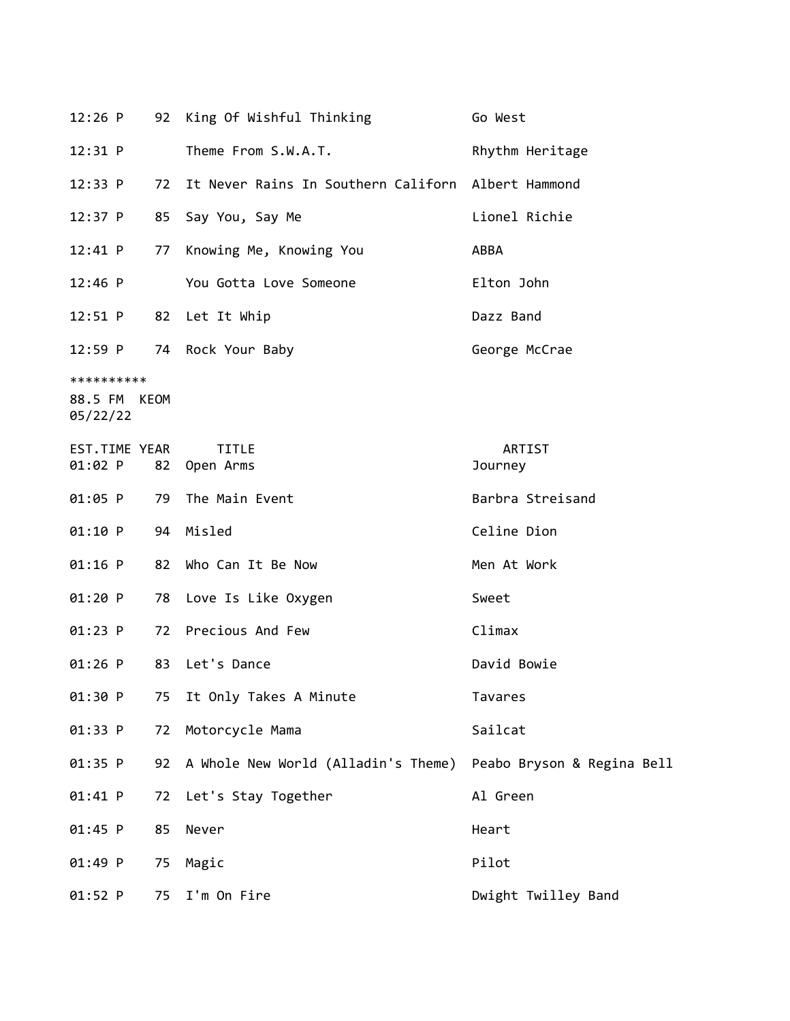| $12:26$ P                              |    | 92 King Of Wishful Thinking                        | Go West                    |
|----------------------------------------|----|----------------------------------------------------|----------------------------|
| 12:31 P                                |    | Theme From S.W.A.T.                                | Rhythm Heritage            |
| 12:33 P                                | 72 | It Never Rains In Southern Californ Albert Hammond |                            |
| $12:37$ P                              | 85 | Say You, Say Me                                    | Lionel Richie              |
| $12:41$ P                              | 77 | Knowing Me, Knowing You                            | ABBA                       |
| $12:46$ P                              |    | You Gotta Love Someone                             | Elton John                 |
| 12:51 P                                | 82 | Let It Whip                                        | Dazz Band                  |
| 12:59 P                                | 74 | Rock Your Baby                                     | George McCrae              |
| **********<br>88.5 FM KEOM<br>05/22/22 |    |                                                    |                            |
| EST.TIME YEAR<br>01:02 P               | 82 | <b>TITLE</b><br>Open Arms                          | ARTIST<br>Journey          |
| $01:05$ P                              | 79 | The Main Event                                     | Barbra Streisand           |
| 01:10 P                                | 94 | Misled                                             | Celine Dion                |
| $01:16$ P                              | 82 | Who Can It Be Now                                  | Men At Work                |
| 01:20 P                                | 78 | Love Is Like Oxygen                                | Sweet                      |
| $01:23$ P                              | 72 | Precious And Few                                   | Climax                     |
| $01:26$ P                              | 83 | Let's Dance                                        | David Bowie                |
| 01:30 P                                | 75 | It Only Takes A Minute                             | Tavares                    |
| 01:33 P                                | 72 | Motorcycle Mama                                    | Sailcat                    |
| 01:35 P                                | 92 | A Whole New World (Alladin's Theme)                | Peabo Bryson & Regina Bell |
| 01:41 P                                | 72 | Let's Stay Together                                | Al Green                   |
| 01:45 P                                | 85 | Never                                              | Heart                      |
| 01:49 P                                | 75 | Magic                                              | Pilot                      |
| 01:52 P                                | 75 | I'm On Fire                                        | Dwight Twilley Band        |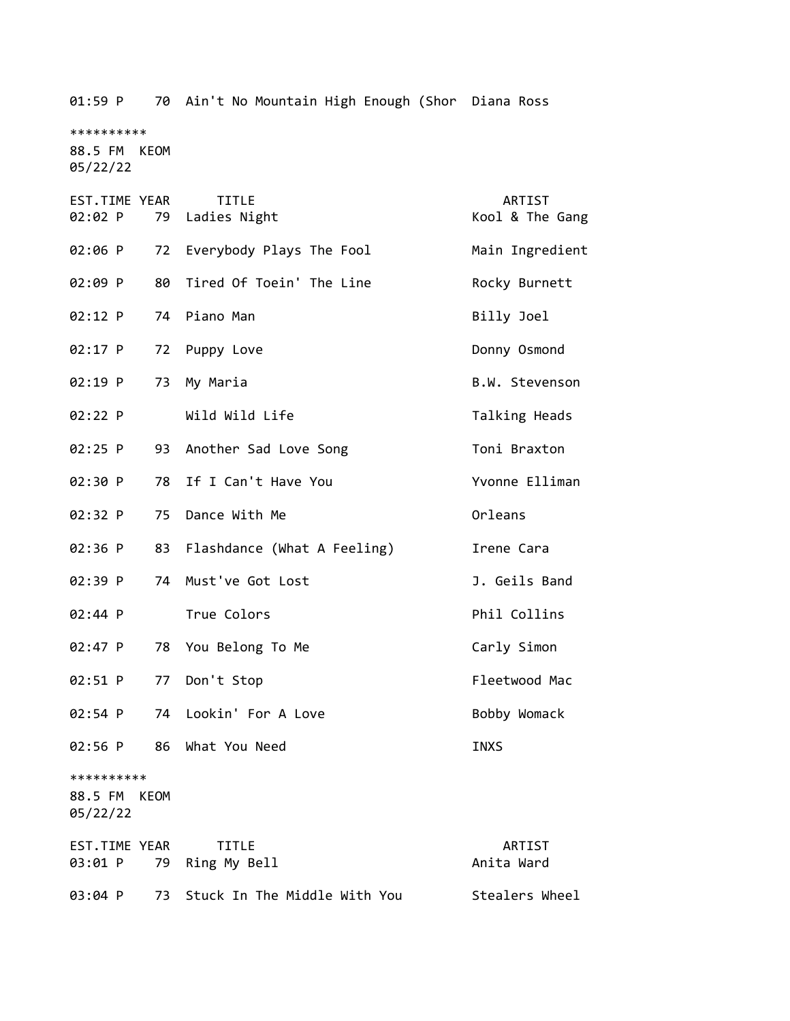\*\*\*\*\*\*\*\*\*\* 88.5 FM KEOM 05/22/22 EST.TIME YEAR TITLE ARTIST 02:02 P 79 Ladies Night Kool & The Gang 02:06 P 72 Everybody Plays The Fool Main Ingredient 02:09 P 80 Tired Of Toein' The Line The Rocky Burnett 02:12 P 74 Piano Man Billy Joel 02:17 P 72 Puppy Love Donny Osmond 02:19 P 73 My Maria B.W. Stevenson 02:22 P Wild Wild Life Talking Heads 02:25 P 93 Another Sad Love Song Toni Braxton 02:30 P 78 If I Can't Have You Yvonne Elliman 02:32 P 75 Dance With Me Orleans 02:36 P 83 Flashdance (What A Feeling) Irene Cara 02:39 P 74 Must've Got Lost 1. Geils Band 02:44 P True Colors **Phil Collins** 02:47 P 78 You Belong To Me Carly Simon 02:51 P 77 Don't Stop Fleetwood Mac 02:54 P 74 Lookin' For A Love Bobby Womack 02:56 P 86 What You Need INXS \*\*\*\*\*\*\*\*\*\* 88.5 FM KEOM 05/22/22 EST.TIME YEAR TITLE ARTIST 03:01 P 79 Ring My Bell **Anita Ward** Anita Ward 03:04 P 73 Stuck In The Middle With You Stealers Wheel

01:59 P 70 Ain't No Mountain High Enough (Shor Diana Ross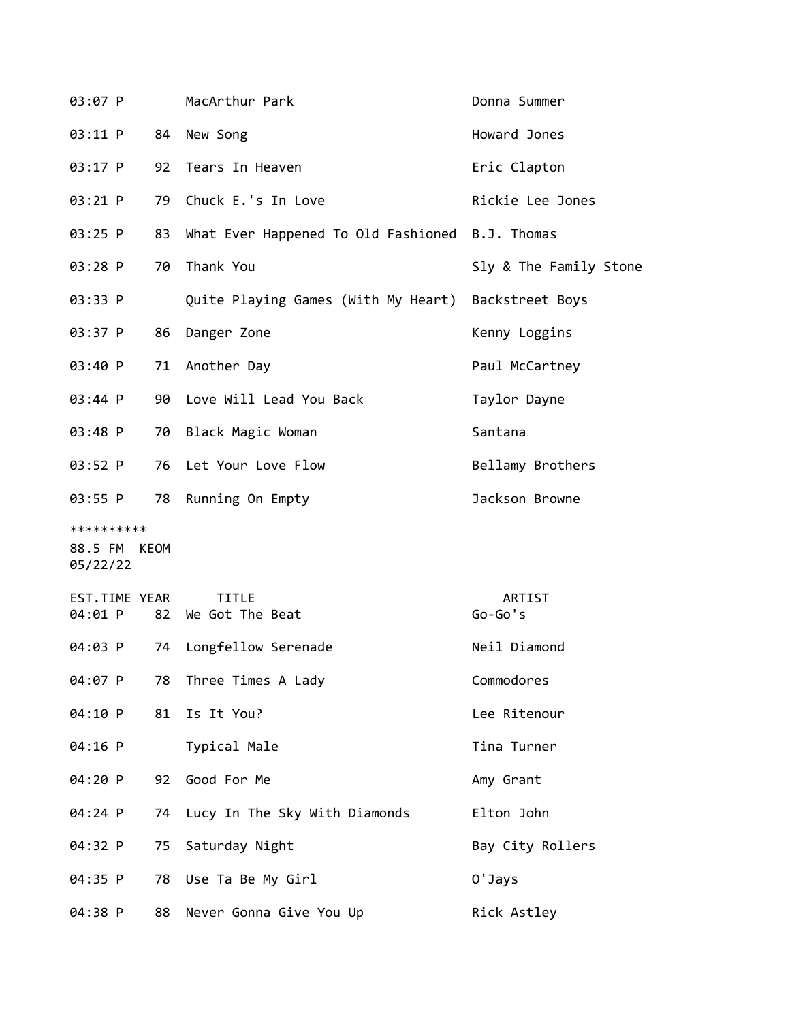| 03:07 P                                |    | MacArthur Park                                      | Donna Summer           |
|----------------------------------------|----|-----------------------------------------------------|------------------------|
| 03:11 P                                | 84 | New Song                                            | Howard Jones           |
| 03:17 P                                | 92 | Tears In Heaven                                     | Eric Clapton           |
| 03:21 P                                | 79 | Chuck E.'s In Love                                  | Rickie Lee Jones       |
| 03:25 P                                | 83 | What Ever Happened To Old Fashioned B.J. Thomas     |                        |
| 03:28 P                                | 70 | Thank You                                           | Sly & The Family Stone |
| 03:33 P                                |    | Quite Playing Games (With My Heart) Backstreet Boys |                        |
| 03:37 P                                | 86 | Danger Zone                                         | Kenny Loggins          |
| 03:40 P                                | 71 | Another Day                                         | Paul McCartney         |
| 03:44 P                                |    | 90 Love Will Lead You Back                          | Taylor Dayne           |
| 03:48 P                                | 70 | Black Magic Woman                                   | Santana                |
| 03:52 P                                | 76 | Let Your Love Flow                                  | Bellamy Brothers       |
| 03:55 P                                | 78 | Running On Empty                                    | Jackson Browne         |
| **********<br>88.5 FM KEOM<br>05/22/22 |    |                                                     |                        |
| EST.TIME YEAR<br>04:01 P               |    | <b>TITLE</b><br>82 We Got The Beat                  | ARTIST<br>$Go-Go's$    |
| 04:03 P                                | 74 | Longfellow Serenade                                 | Neil Diamond           |
| 04:07 P                                | 78 | Three Times A Lady                                  | Commodores             |
| 04:10 P                                | 81 | Is It You?                                          | Lee Ritenour           |
| 04:16 P                                |    | Typical Male                                        | Tina Turner            |
| 04:20 P                                | 92 | Good For Me                                         | Amy Grant              |
| 04:24 P                                | 74 | Lucy In The Sky With Diamonds                       | Elton John             |
| 04:32 P                                | 75 | Saturday Night                                      | Bay City Rollers       |
| 04:35 P                                | 78 | Use Ta Be My Girl                                   | 0'Jays                 |
| 04:38 P                                | 88 | Never Gonna Give You Up                             | Rick Astley            |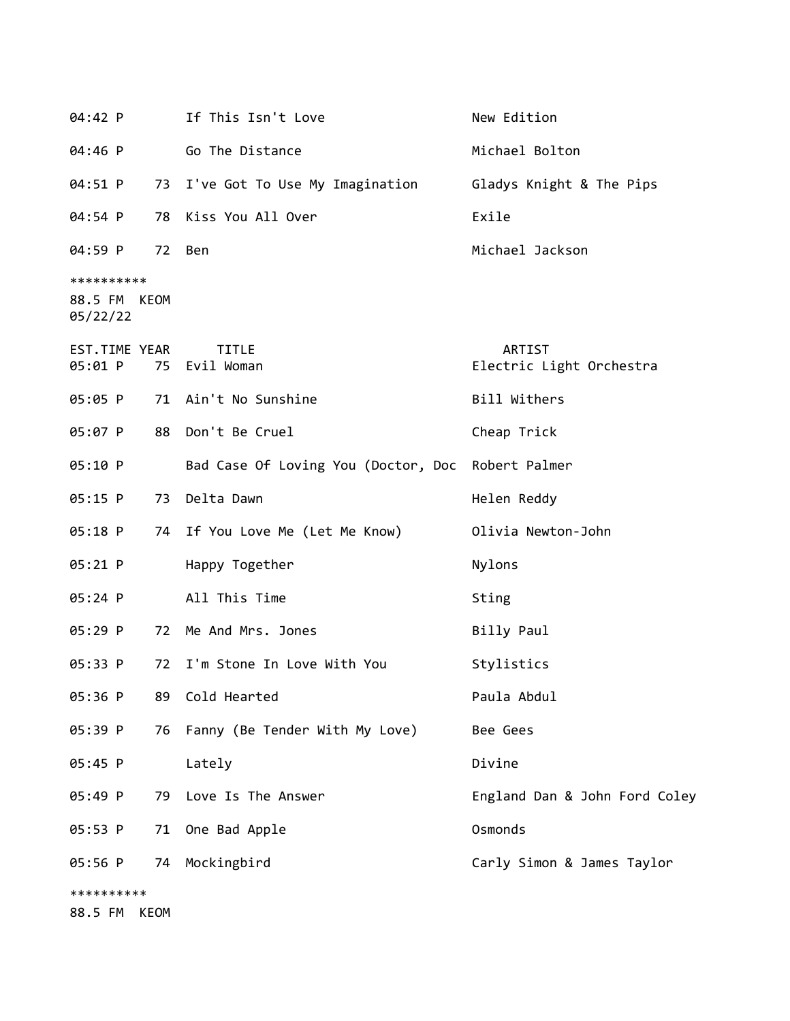| 04:42 P                                |             | If This Isn't Love                                | New Edition                        |
|----------------------------------------|-------------|---------------------------------------------------|------------------------------------|
| 04:46 P                                |             | Go The Distance                                   | Michael Bolton                     |
| 04:51 P                                |             | 73 I've Got To Use My Imagination                 | Gladys Knight & The Pips           |
| 04:54 P                                | 78          | Kiss You All Over                                 | Exile                              |
| 04:59 P                                |             | 72 Ben                                            | Michael Jackson                    |
| **********<br>88.5 FM KEOM<br>05/22/22 |             |                                                   |                                    |
| EST.TIME YEAR<br>05:01 P               |             | <b>TITLE</b><br>75 Evil Woman                     | ARTIST<br>Electric Light Orchestra |
| 05:05 P                                |             | 71 Ain't No Sunshine                              | Bill Withers                       |
| 05:07 P                                |             | 88 Don't Be Cruel                                 | Cheap Trick                        |
| 05:10 P                                |             | Bad Case Of Loving You (Doctor, Doc Robert Palmer |                                    |
| 05:15 P                                | 73          | Delta Dawn                                        | Helen Reddy                        |
| 05:18 P                                |             | 74 If You Love Me (Let Me Know)                   | Olivia Newton-John                 |
| 05:21 P                                |             | Happy Together                                    | Nylons                             |
| 05:24 P                                |             | All This Time                                     | Sting                              |
| 05:29 P                                |             | 72 Me And Mrs. Jones                              | Billy Paul                         |
| 05:33 P                                | 72          | I'm Stone In Love With You                        | Stylistics                         |
| 05:36 P                                | 89          | Cold Hearted                                      | Paula Abdul                        |
| 05:39 P                                | 76          | Fanny (Be Tender With My Love)                    | Bee Gees                           |
| 05:45 P                                |             | Lately                                            | Divine                             |
| 05:49 P                                |             | 79 Love Is The Answer                             | England Dan & John Ford Coley      |
| 05:53 P                                | 71          | One Bad Apple                                     | Osmonds                            |
| 05:56 P                                |             | 74 Mockingbird                                    | Carly Simon & James Taylor         |
| **********                             |             |                                                   |                                    |
| 88.5 FM                                | <b>KEOM</b> |                                                   |                                    |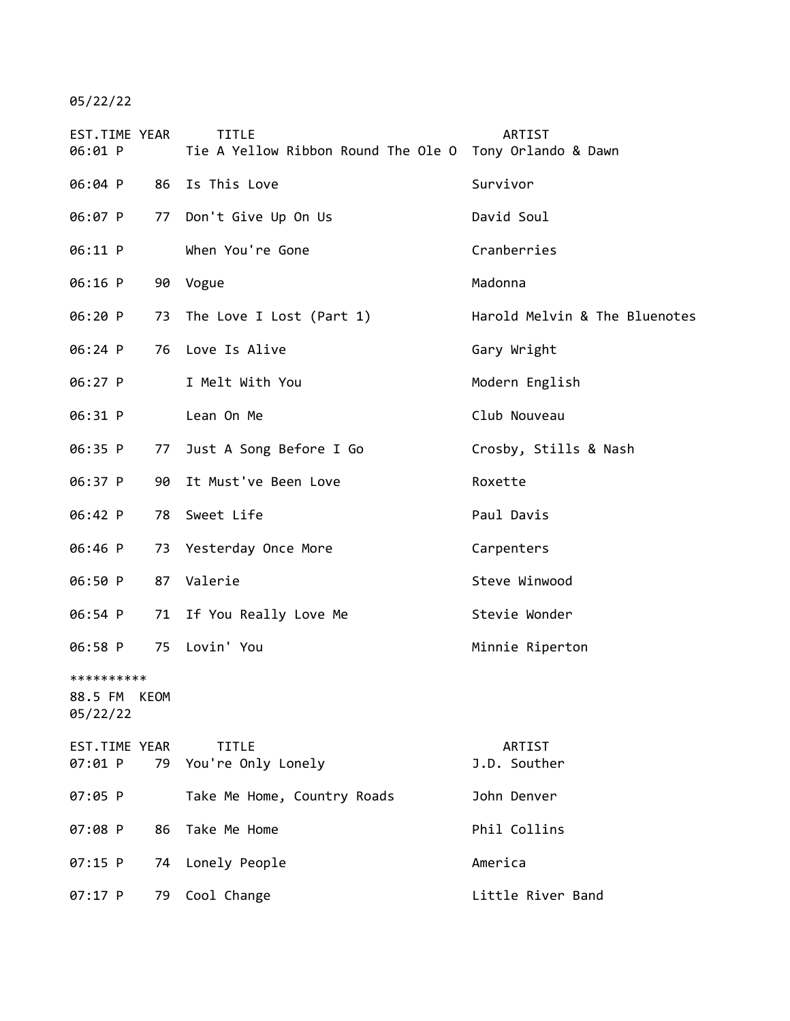05/22/22

| EST.TIME YEAR<br>06:01 P               |    | <b>TITLE</b><br>Tie A Yellow Ribbon Round The Ole O Tony Orlando & Dawn | <b>ARTIST</b>                 |
|----------------------------------------|----|-------------------------------------------------------------------------|-------------------------------|
| 06:04 P                                |    | 86 Is This Love                                                         | Survivor                      |
| 06:07 P                                |    | 77 Don't Give Up On Us                                                  | David Soul                    |
| 06:11 P                                |    | When You're Gone                                                        | Cranberries                   |
| 06:16 P                                |    | 90 Vogue                                                                | Madonna                       |
| 06:20 P                                |    | 73 The Love I Lost (Part 1)                                             | Harold Melvin & The Bluenotes |
| 06:24 P                                |    | 76 Love Is Alive                                                        | Gary Wright                   |
| 06:27 P                                |    | I Melt With You                                                         | Modern English                |
| 06:31 P                                |    | Lean On Me                                                              | Club Nouveau                  |
| 06:35 P                                | 77 | Just A Song Before I Go                                                 | Crosby, Stills & Nash         |
| 06:37 P                                | 90 | It Must've Been Love                                                    | Roxette                       |
| 06:42 P                                | 78 | Sweet Life                                                              | Paul Davis                    |
| 06:46 P                                | 73 | Yesterday Once More                                                     | Carpenters                    |
| 06:50 P                                |    | 87 Valerie                                                              | Steve Winwood                 |
| 06:54 P                                | 71 | If You Really Love Me                                                   | Stevie Wonder                 |
| 06:58 P                                | 75 | Lovin' You                                                              | Minnie Riperton               |
| **********<br>88.5 FM KEOM<br>05/22/22 |    |                                                                         |                               |
| EST.TIME YEAR<br>07:01 P               |    | <b>TITLE</b><br>79 You're Only Lonely                                   | ARTIST<br>J.D. Souther        |
| 07:05 P                                |    | Take Me Home, Country Roads                                             | John Denver                   |
| 07:08 P                                | 86 | Take Me Home                                                            | Phil Collins                  |
| 07:15 P                                | 74 | Lonely People                                                           | America                       |
| 07:17 P                                | 79 | Cool Change                                                             | Little River Band             |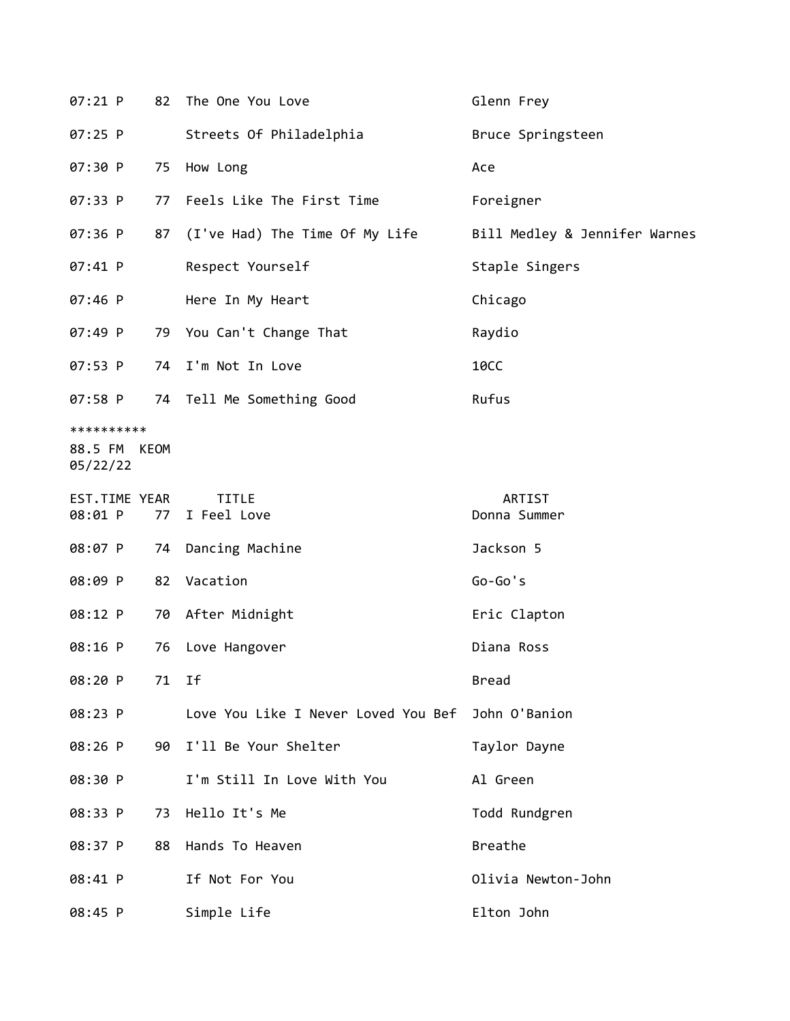| $07:21$ P                              |    | 82 The One You Love                 | Glenn Frey                    |
|----------------------------------------|----|-------------------------------------|-------------------------------|
| 07:25 P                                |    | Streets Of Philadelphia             | Bruce Springsteen             |
| 07:30 P                                | 75 | How Long                            | Ace                           |
| 07:33 P                                |    | 77 Feels Like The First Time        | Foreigner                     |
| 07:36 P                                |    | 87 (I've Had) The Time Of My Life   | Bill Medley & Jennifer Warnes |
| 07:41 P                                |    | Respect Yourself                    | Staple Singers                |
| 07:46 P                                |    | Here In My Heart                    | Chicago                       |
| 07:49 P                                |    | 79 You Can't Change That            | Raydio                        |
| 07:53 P                                |    | 74 I'm Not In Love                  | <b>10CC</b>                   |
| 07:58 P                                |    | 74 Tell Me Something Good           | Rufus                         |
| **********<br>88.5 FM KEOM<br>05/22/22 |    |                                     |                               |
| EST.TIME YEAR<br>08:01 P               | 77 | <b>TITLE</b><br>I Feel Love         | ARTIST<br>Donna Summer        |
| 08:07 P                                |    | 74 Dancing Machine                  | Jackson 5                     |
| 08:09 P                                |    | 82 Vacation                         | $Go-Go's$                     |
| 08:12 P                                |    | 70 After Midnight                   | Eric Clapton                  |
| 08:16 P                                | 76 | Love Hangover                       | Diana Ross                    |
| 08:20 P                                | 71 | Ιf                                  | <b>Bread</b>                  |
| 08:23 P                                |    | Love You Like I Never Loved You Bef | John O'Banion                 |
| 08:26 P                                | 90 | I'll Be Your Shelter                | Taylor Dayne                  |
| 08:30 P                                |    | I'm Still In Love With You          | Al Green                      |
| 08:33 P                                | 73 | Hello It's Me                       | Todd Rundgren                 |
| 08:37 P                                | 88 | Hands To Heaven                     | Breathe                       |
| 08:41 P                                |    | If Not For You                      | Olivia Newton-John            |
| 08:45 P                                |    | Simple Life                         | Elton John                    |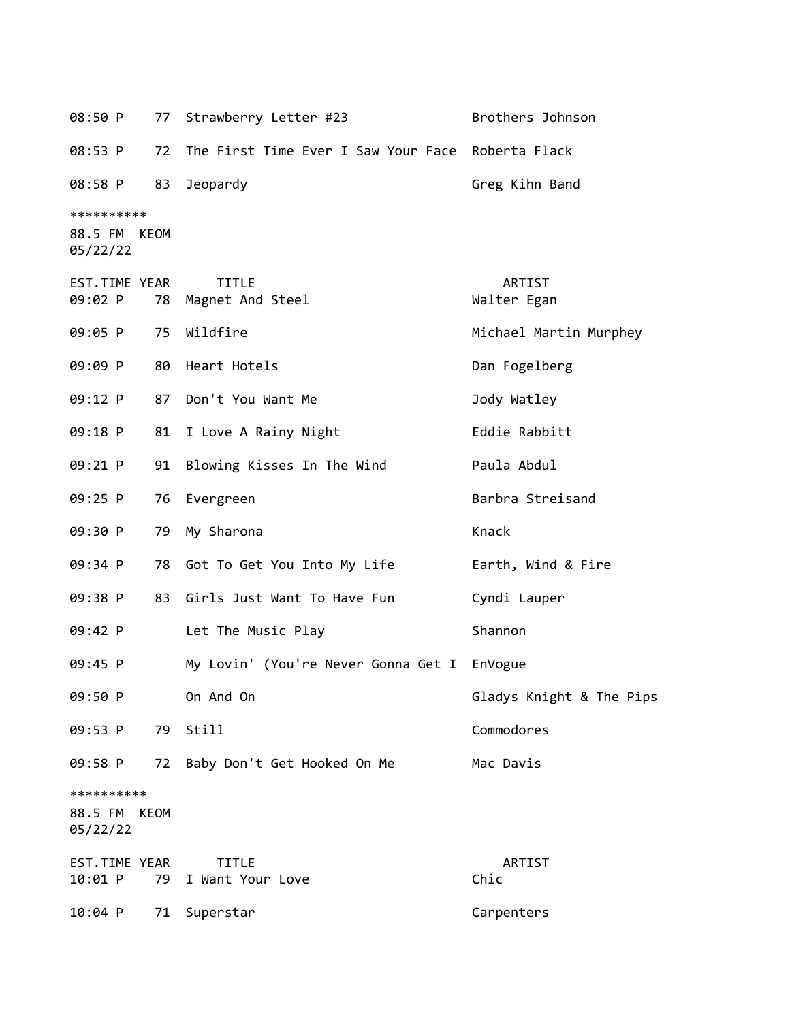08:50 P 77 Strawberry Letter #23 Brothers Johnson 08:53 P 72 The First Time Ever I Saw Your Face Roberta Flack 08:58 P 83 Jeopardy Greg Kihn Band \*\*\*\*\*\*\*\*\*\* 88.5 FM KEOM 05/22/22 EST.TIME YEAR TITLE ARTIST 09:02 P 78 Magnet And Steel Walter Egan 09:05 P 75 Wildfire Michael Martin Murphey 09:09 P 80 Heart Hotels **Dan Fogelberg** 09:12 P 87 Don't You Want Me Jody Watley 09:18 P 81 I Love A Rainy Night **Eddie Rabbitt** 09:21 P 91 Blowing Kisses In The Wind Paula Abdul 09:25 P 76 Evergreen Barbra Streisand 09:30 P 79 My Sharona **Knack** Knack 09:34 P 78 Got To Get You Into My Life Farth, Wind & Fire 09:38 P 83 Girls Just Want To Have Fun Cyndi Lauper 09:42 P Let The Music Play Shannon 09:45 P My Lovin' (You're Never Gonna Get I EnVogue 09:50 P On And On Gladys Knight & The Pips 09:53 P 79 Still Commodores 09:58 P 72 Baby Don't Get Hooked On Me Mac Davis \*\*\*\*\*\*\*\*\*\* 88.5 FM KEOM 05/22/22 EST.TIME YEAR TITLE ARTIST 10:01 P 79 I Want Your Love Chic 10:04 P 71 Superstar Carpenters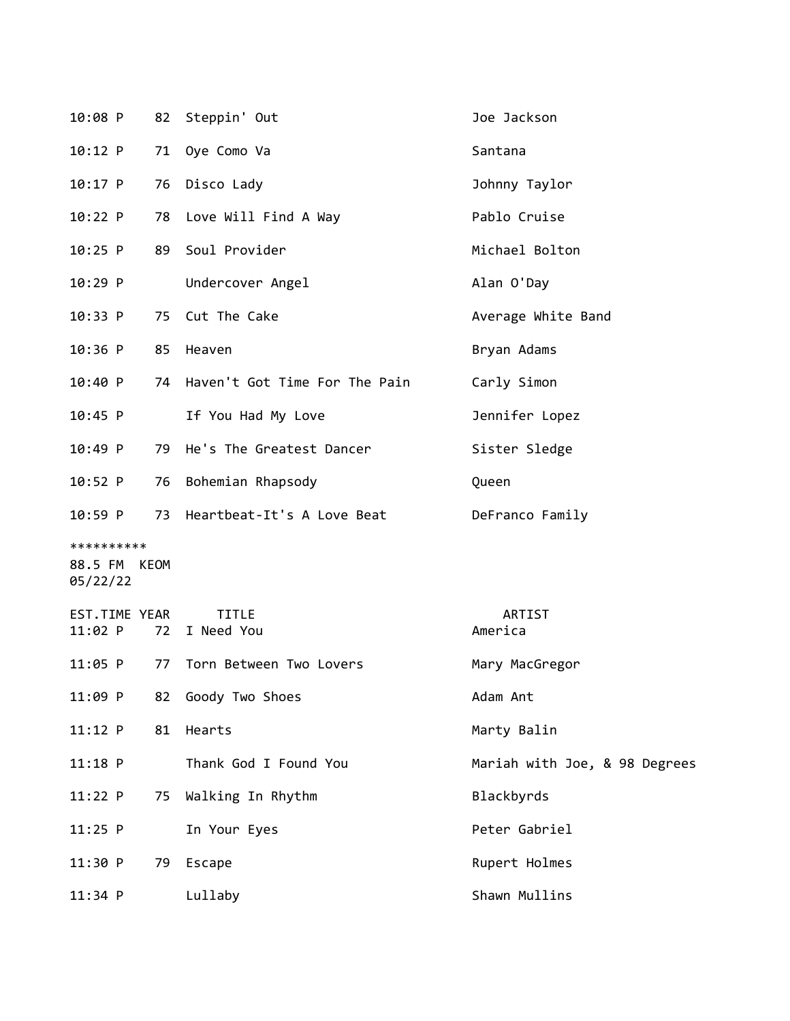| 10:08 P                  |    | 82 Steppin' Out                  | Joe Jackson                   |
|--------------------------|----|----------------------------------|-------------------------------|
| 10:12 P                  | 71 | Oye Como Va                      | Santana                       |
| 10:17 P                  | 76 | Disco Lady                       | Johnny Taylor                 |
| 10:22 P                  | 78 | Love Will Find A Way             | Pablo Cruise                  |
| $10:25$ P                | 89 | Soul Provider                    | Michael Bolton                |
| 10:29 P                  |    | Undercover Angel                 | Alan O'Day                    |
| 10:33 P                  | 75 | Cut The Cake                     | Average White Band            |
| 10:36 P                  | 85 | Heaven                           | Bryan Adams                   |
| 10:40 P                  |    | 74 Haven't Got Time For The Pain | Carly Simon                   |
| $10:45$ P                |    | If You Had My Love               | Jennifer Lopez                |
| 10:49 P                  | 79 | He's The Greatest Dancer         | Sister Sledge                 |
| 10:52 P                  | 76 | Bohemian Rhapsody                | Queen                         |
| $10:59$ P                | 73 | Heartbeat-It's A Love Beat       | DeFranco Family               |
| **********               |    |                                  |                               |
| 88.5 FM KEOM<br>05/22/22 |    |                                  |                               |
| EST.TIME YEAR            |    | <b>TITLE</b>                     | ARTIST                        |
| $11:02$ P                | 72 | I Need You                       | America                       |
| $11:05$ P                | 77 | Torn Between Two Lovers          | Mary MacGregor                |
| 11:09 P                  | 82 | Goody Two Shoes                  | Adam Ant                      |
| $11:12$ P                | 81 | Hearts                           | Marty Balin                   |
| $11:18$ P                |    | Thank God I Found You            | Mariah with Joe, & 98 Degrees |
| 11:22 P                  | 75 | Walking In Rhythm                | Blackbyrds                    |
| $11:25$ P                |    | In Your Eyes                     | Peter Gabriel                 |
| 11:30 P                  | 79 | Escape                           | Rupert Holmes                 |
| $11:34$ P                |    | Lullaby                          | Shawn Mullins                 |